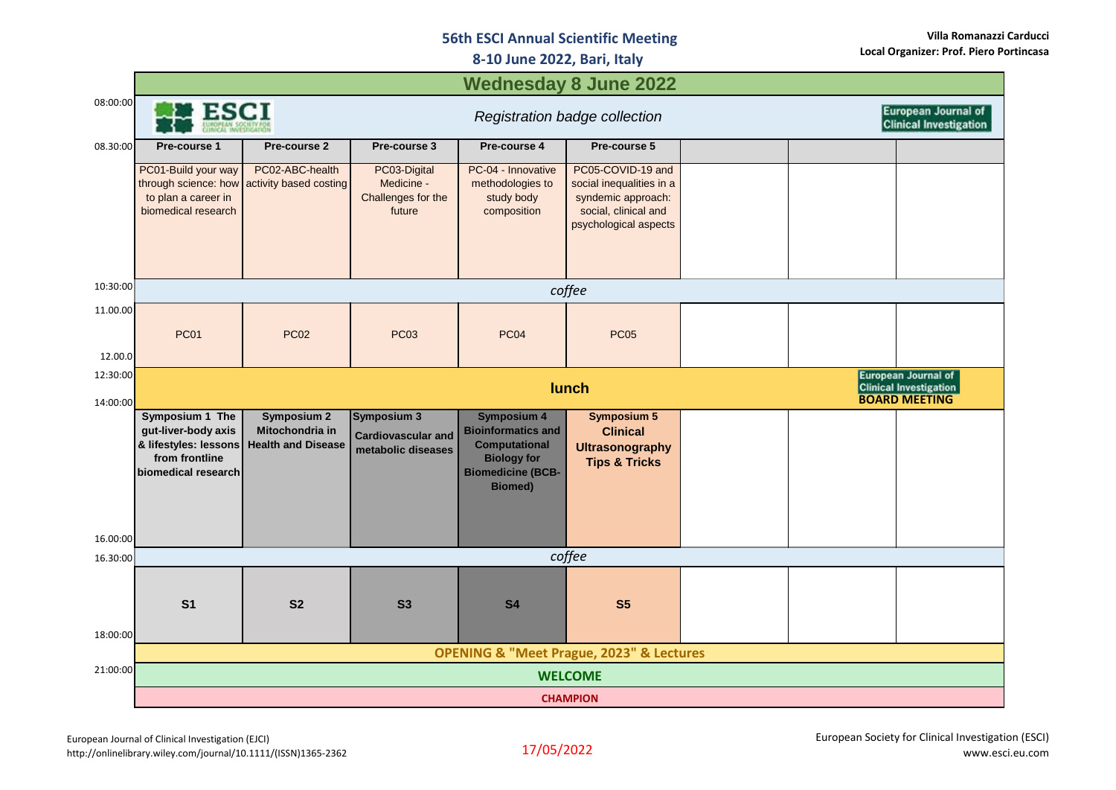## **56th ESCI Annual Scientific Meeting**

**8-10 June 2022, Bari, Italy**

|                     | <b>Wednesday 8 June 2022</b>                                                                             |                                                                    |                                                                |                                                                                                                                             |                                                                                                                      |  |  |                            |
|---------------------|----------------------------------------------------------------------------------------------------------|--------------------------------------------------------------------|----------------------------------------------------------------|---------------------------------------------------------------------------------------------------------------------------------------------|----------------------------------------------------------------------------------------------------------------------|--|--|----------------------------|
| 08:00:00            | <b>ESCI</b>                                                                                              |                                                                    |                                                                |                                                                                                                                             | <b>European Journal of</b><br>Registration badge collection<br><b>Clinical Investigation</b>                         |  |  |                            |
| 08.30:00            | Pre-course 1                                                                                             | Pre-course 2                                                       | Pre-course 3                                                   | Pre-course 4                                                                                                                                | Pre-course 5                                                                                                         |  |  |                            |
|                     | PC01-Build your way<br>through science: how<br>to plan a career in<br>biomedical research                | PC02-ABC-health<br>activity based costing                          | PC03-Digital<br>Medicine -<br>Challenges for the<br>future     | PC-04 - Innovative<br>methodologies to<br>study body<br>composition                                                                         | PC05-COVID-19 and<br>social inequalities in a<br>syndemic approach:<br>social, clinical and<br>psychological aspects |  |  |                            |
| 10:30:00            | coffee                                                                                                   |                                                                    |                                                                |                                                                                                                                             |                                                                                                                      |  |  |                            |
| 11.00.00            | <b>PC01</b>                                                                                              | <b>PC02</b>                                                        | <b>PC03</b>                                                    | <b>PC04</b>                                                                                                                                 | <b>PC05</b>                                                                                                          |  |  |                            |
| 12.00.0<br>12:30:00 |                                                                                                          |                                                                    |                                                                |                                                                                                                                             |                                                                                                                      |  |  | <b>European Journal of</b> |
| 14:00:00            | lunch<br><b>Clinical Investigation</b><br><b>BOARD MEETING</b>                                           |                                                                    |                                                                |                                                                                                                                             |                                                                                                                      |  |  |                            |
|                     | Symposium 1 The<br>gut-liver-body axis<br>& lifestyles: lessons<br>from frontline<br>biomedical research | <b>Symposium 2</b><br>Mitochondria in<br><b>Health and Disease</b> | Symposium 3<br><b>Cardiovascular and</b><br>metabolic diseases | <b>Symposium 4</b><br><b>Bioinformatics and</b><br><b>Computational</b><br><b>Biology for</b><br><b>Biomedicine (BCB-</b><br><b>Biomed)</b> | <b>Symposium 5</b><br><b>Clinical</b><br><b>Ultrasonography</b><br><b>Tips &amp; Tricks</b>                          |  |  |                            |
| 16.00:00            |                                                                                                          |                                                                    |                                                                |                                                                                                                                             |                                                                                                                      |  |  |                            |
| 16.30:00            | coffee                                                                                                   |                                                                    |                                                                |                                                                                                                                             |                                                                                                                      |  |  |                            |
| 18:00:00            | S <sub>1</sub>                                                                                           | S <sub>2</sub>                                                     | S3                                                             | <b>S4</b>                                                                                                                                   | S <sub>5</sub>                                                                                                       |  |  |                            |
|                     | <b>OPENING &amp; "Meet Prague, 2023" &amp; Lectures</b>                                                  |                                                                    |                                                                |                                                                                                                                             |                                                                                                                      |  |  |                            |
| 21:00:00            | <b>WELCOME</b>                                                                                           |                                                                    |                                                                |                                                                                                                                             |                                                                                                                      |  |  |                            |
|                     | <b>CHAMPION</b>                                                                                          |                                                                    |                                                                |                                                                                                                                             |                                                                                                                      |  |  |                            |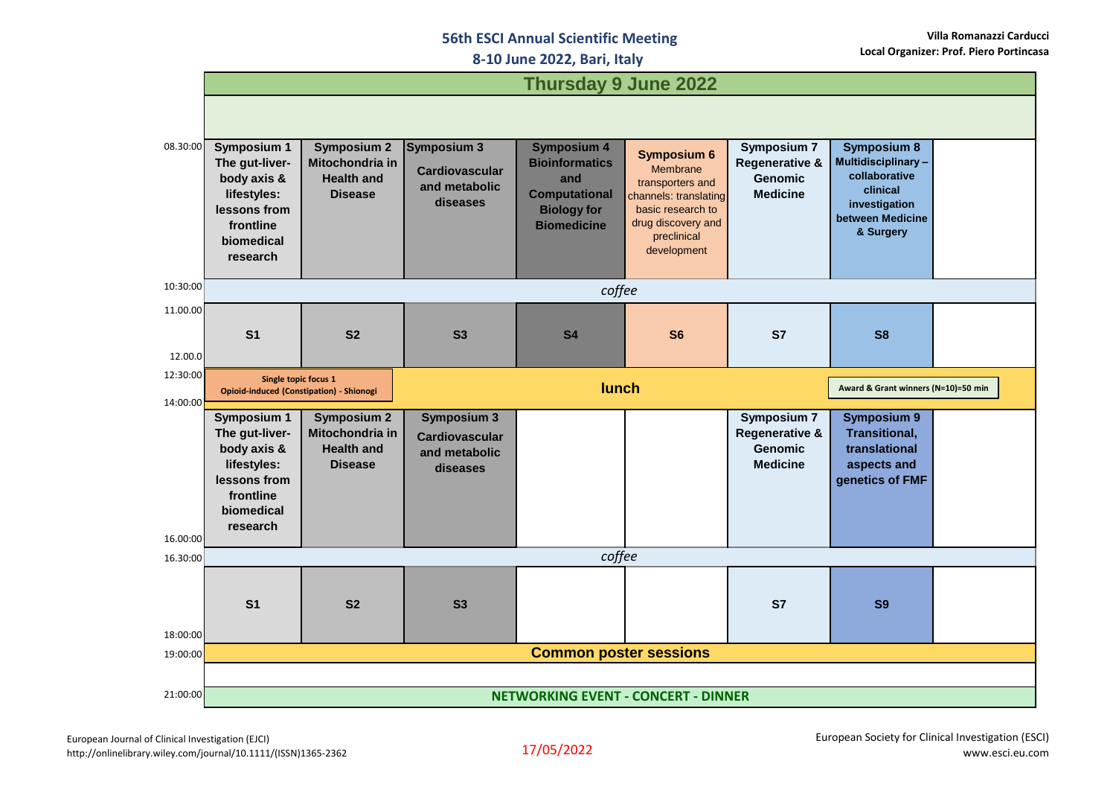## **56th ESCI Annual Scientific Meeting**

**8-10 June 2022, Bari, Italy**